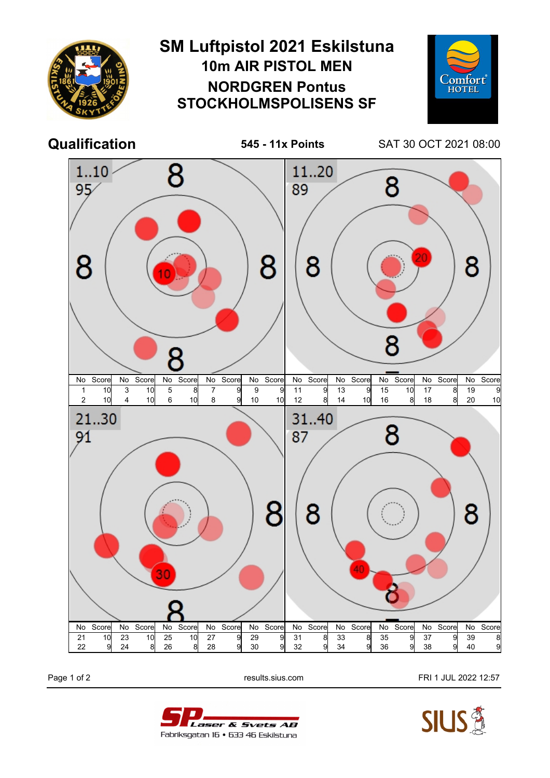

Page 1 of 2 **Page 1 of 2** results.sius.com **FRI 1 JUL 2022 12:57**